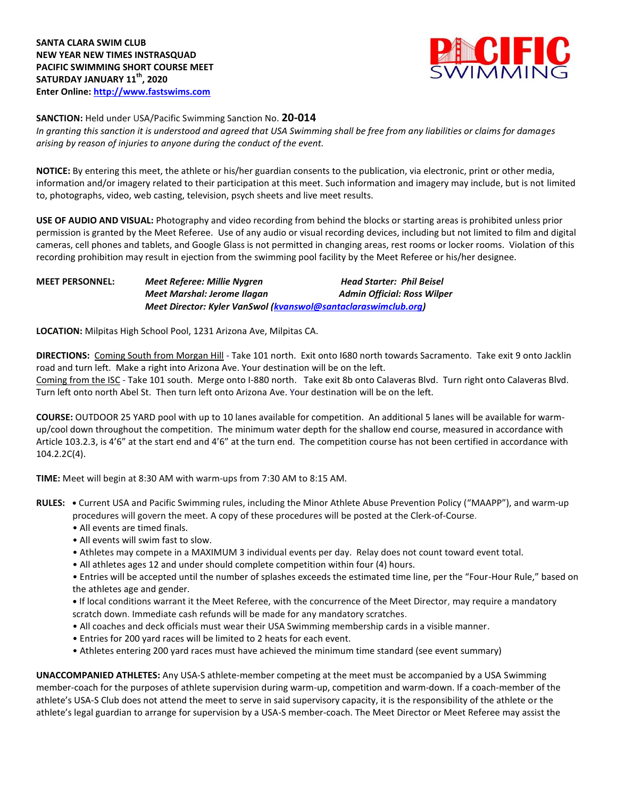

**SANCTION:** Held under USA/Pacific Swimming Sanction No. **20-014**

*In granting this sanction it is understood and agreed that USA Swimming shall be free from any liabilities or claims for damages arising by reason of injuries to anyone during the conduct of the event.* 

**NOTICE:** By entering this meet, the athlete or his/her guardian consents to the publication, via electronic, print or other media, information and/or imagery related to their participation at this meet. Such information and imagery may include, but is not limited to, photographs, video, web casting, television, psych sheets and live meet results.

**USE OF AUDIO AND VISUAL:** Photography and video recording from behind the blocks or starting areas is prohibited unless prior permission is granted by the Meet Referee. Use of any audio or visual recording devices, including but not limited to film and digital cameras, cell phones and tablets, and Google Glass is not permitted in changing areas, rest rooms or locker rooms. Violation of this recording prohibition may result in ejection from the swimming pool facility by the Meet Referee or his/her designee.

## **MEET PERSONNEL:** *Meet Referee: Millie Nygren Head Starter: Phil Beisel Meet Marshal: Jerome Ilagan* Admin Official: Ross Wilper *Meet Director: Kyler VanSwol [\(kvanswol@santaclaraswimclub.org\)](mailto:kvanswol@santaclaraswimclub.org)*

**LOCATION:** Milpitas High School Pool, 1231 Arizona Ave, Milpitas CA.

**DIRECTIONS:** Coming South from Morgan Hill - Take 101 north. Exit onto I680 north towards Sacramento. Take exit 9 onto Jacklin road and turn left. Make a right into Arizona Ave. Your destination will be on the left. Coming from the ISC - Take 101 south. Merge onto I-880 north. Take exit 8b onto Calaveras Blvd. Turn right onto Calaveras Blvd. Turn left onto north Abel St. Then turn left onto Arizona Ave. Your destination will be on the left.

**COURSE:** OUTDOOR 25 YARD pool with up to 10 lanes available for competition.An additional 5 lanes will be available for warmup/cool down throughout the competition. The minimum water depth for the shallow end course, measured in accordance with Article 103.2.3, is 4'6" at the start end and 4'6" at the turn end. The competition course has not been certified in accordance with 104.2.2C(4).

**TIME:** Meet will begin at 8:30 AM with warm-ups from 7:30 AM to 8:15 AM.

- **RULES: •** Current USA and Pacific Swimming rules, including the Minor Athlete Abuse Prevention Policy ("MAAPP"), and warm-up procedures will govern the meet. A copy of these procedures will be posted at the Clerk-of-Course.
	- All events are timed finals.
	- All events will swim fast to slow.
	- Athletes may compete in a MAXIMUM 3 individual events per day. Relay does not count toward event total.
	- All athletes ages 12 and under should complete competition within four (4) hours.

• Entries will be accepted until the number of splashes exceeds the estimated time line, per the "Four-Hour Rule," based on the athletes age and gender.

**•** If local conditions warrant it the Meet Referee, with the concurrence of the Meet Director, may require a mandatory scratch down. Immediate cash refunds will be made for any mandatory scratches.

- All coaches and deck officials must wear their USA Swimming membership cards in a visible manner.
- Entries for 200 yard races will be limited to 2 heats for each event.
- Athletes entering 200 yard races must have achieved the minimum time standard (see event summary)

**UNACCOMPANIED ATHLETES:** Any USA-S athlete-member competing at the meet must be accompanied by a USA Swimming member-coach for the purposes of athlete supervision during warm-up, competition and warm-down. If a coach-member of the athlete's USA-S Club does not attend the meet to serve in said supervisory capacity, it is the responsibility of the athlete or the athlete's legal guardian to arrange for supervision by a USA-S member-coach. The Meet Director or Meet Referee may assist the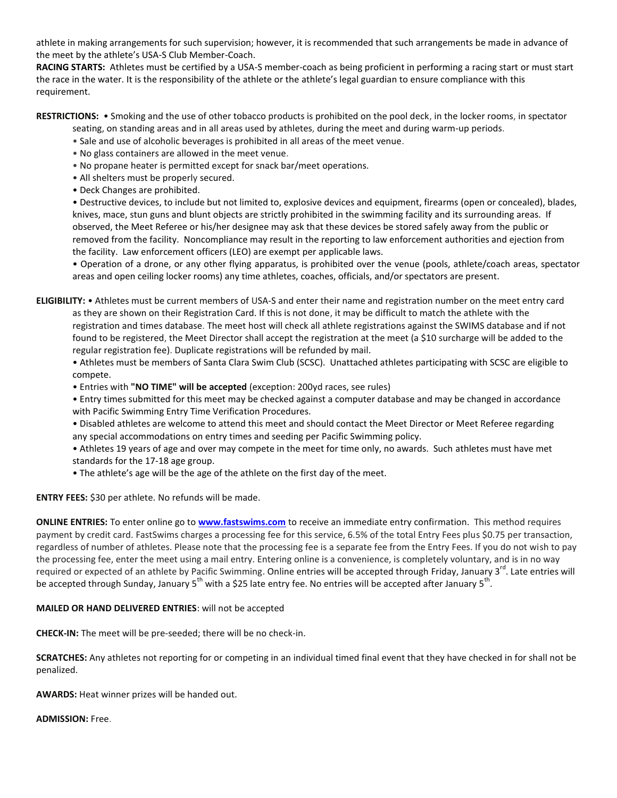athlete in making arrangements for such supervision; however, it is recommended that such arrangements be made in advance of the meet by the athlete's USA-S Club Member-Coach.

**RACING STARTS:** Athletes must be certified by a USA-S member-coach as being proficient in performing a racing start or must start the race in the water. It is the responsibility of the athlete or the athlete's legal guardian to ensure compliance with this requirement.

**RESTRICTIONS:** • Smoking and the use of other tobacco products is prohibited on the pool deck, in the locker rooms, in spectator

- seating, on standing areas and in all areas used by athletes, during the meet and during warm-up periods.
- Sale and use of alcoholic beverages is prohibited in all areas of the meet venue.
- No glass containers are allowed in the meet venue.
- No propane heater is permitted except for snack bar/meet operations.
- All shelters must be properly secured.
- Deck Changes are prohibited.

• Destructive devices, to include but not limited to, explosive devices and equipment, firearms (open or concealed), blades, knives, mace, stun guns and blunt objects are strictly prohibited in the swimming facility and its surrounding areas. If observed, the Meet Referee or his/her designee may ask that these devices be stored safely away from the public or removed from the facility. Noncompliance may result in the reporting to law enforcement authorities and ejection from the facility. Law enforcement officers (LEO) are exempt per applicable laws.

• Operation of a drone, or any other flying apparatus, is prohibited over the venue (pools, athlete/coach areas, spectator areas and open ceiling locker rooms) any time athletes, coaches, officials, and/or spectators are present.

**ELIGIBILITY:** • Athletes must be current members of USA-S and enter their name and registration number on the meet entry card as they are shown on their Registration Card. If this is not done, it may be difficult to match the athlete with the registration and times database. The meet host will check all athlete registrations against the SWIMS database and if not found to be registered, the Meet Director shall accept the registration at the meet (a \$10 surcharge will be added to the regular registration fee). Duplicate registrations will be refunded by mail.

• Athletes must be members of Santa Clara Swim Club (SCSC). Unattached athletes participating with SCSC are eligible to compete.

• Entries with **"NO TIME" will be accepted** (exception: 200yd races, see rules)

• Entry times submitted for this meet may be checked against a computer database and may be changed in accordance with Pacific Swimming Entry Time Verification Procedures.

- Disabled athletes are welcome to attend this meet and should contact the Meet Director or Meet Referee regarding any special accommodations on entry times and seeding per Pacific Swimming policy.
- Athletes 19 years of age and over may compete in the meet for time only, no awards. Such athletes must have met standards for the 17-18 age group.
- The athlete's age will be the age of the athlete on the first day of the meet.

**ENTRY FEES:** \$30 per athlete. No refunds will be made.

**ONLINE ENTRIES:** To enter online go to **[www.fastswims.com](http://www.fastswims.com/)** to receive an immediate entry confirmation. This method requires payment by credit card. FastSwims charges a processing fee for this service, 6.5% of the total Entry Fees plus \$0.75 per transaction, regardless of number of athletes. Please note that the processing fee is a separate fee from the Entry Fees. If you do not wish to pay the processing fee, enter the meet using a mail entry. Entering online is a convenience, is completely voluntary, and is in no way required or expected of an athlete by Pacific Swimming. Online entries will be accepted through Friday, January 3<sup>rd</sup>. Late entries will be accepted through Sunday, January 5<sup>th</sup> with a \$25 late entry fee. No entries will be accepted after January 5<sup>th</sup>.

## **MAILED OR HAND DELIVERED ENTRIES**: will not be accepted

**CHECK-IN:** The meet will be pre-seeded; there will be no check-in.

**SCRATCHES:** Any athletes not reporting for or competing in an individual timed final event that they have checked in for shall not be penalized.

**AWARDS:** Heat winner prizes will be handed out.

**ADMISSION:** Free.